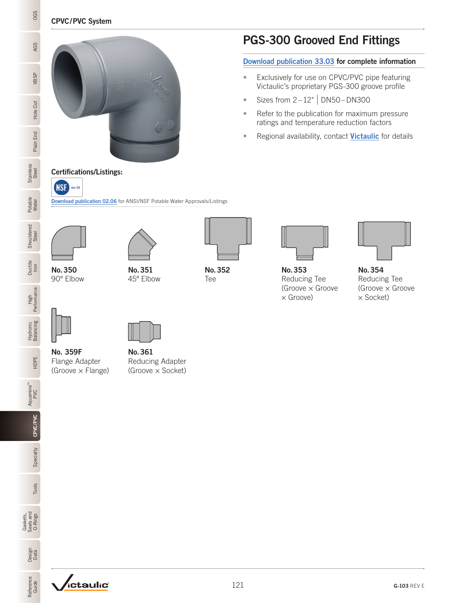### CPVC/PVC System



Certifications/Listings:

**NSF** pw SE

## PGS-300 Grooved End Fittings

[Download publication 33.03](https://www.victaulic.com/assets/uploads/literature/33.03.pdf) for complete information

- Exclusively for use on CPVC/PVC pipe featuring Victaulic's proprietary PGS-300 groove profile
- Sizes from  $2-12$ " | DN50-DN300
- Refer to the publication for maximum pressure ratings and temperature reduction factors
- Regional availability, contact [Victaulic](mailto:pickvic%40victaulic.com?subject=Regional%20availability) for details

**Stainless** Stainless<br>Steel Potable Water

Steel OGS Vater Steel OGS VBSP AGSP Steel OGS VBSP AGSP AGSP

Ductile Iron

Hole Cut

OGS

AGS

VBSP

Plain End





No.350 90º Elbow



HDPE

Aquamine™ PVC

CPVC/PVC

CPVC/PVC

Specialty

No. 359F

Flange Adapter (Groove × Flange)



[Download publication 02.06](http://static.victaulic.com/assets/uploads/literature/02.06.pdf) for ANSI/NSF Potable Water Approvals/Listings





No.352 Tee



No.353 Reducing Tee (Groove × Groove × Groove)



No.354 Reducing Tee (Groove × Groove × Socket)

No.361

Reducing Adapter (Groove × Socket)

Gaskets, Seals and O-Rings

Data O-Rings Tools Specialty

Tools

Design<br>Data